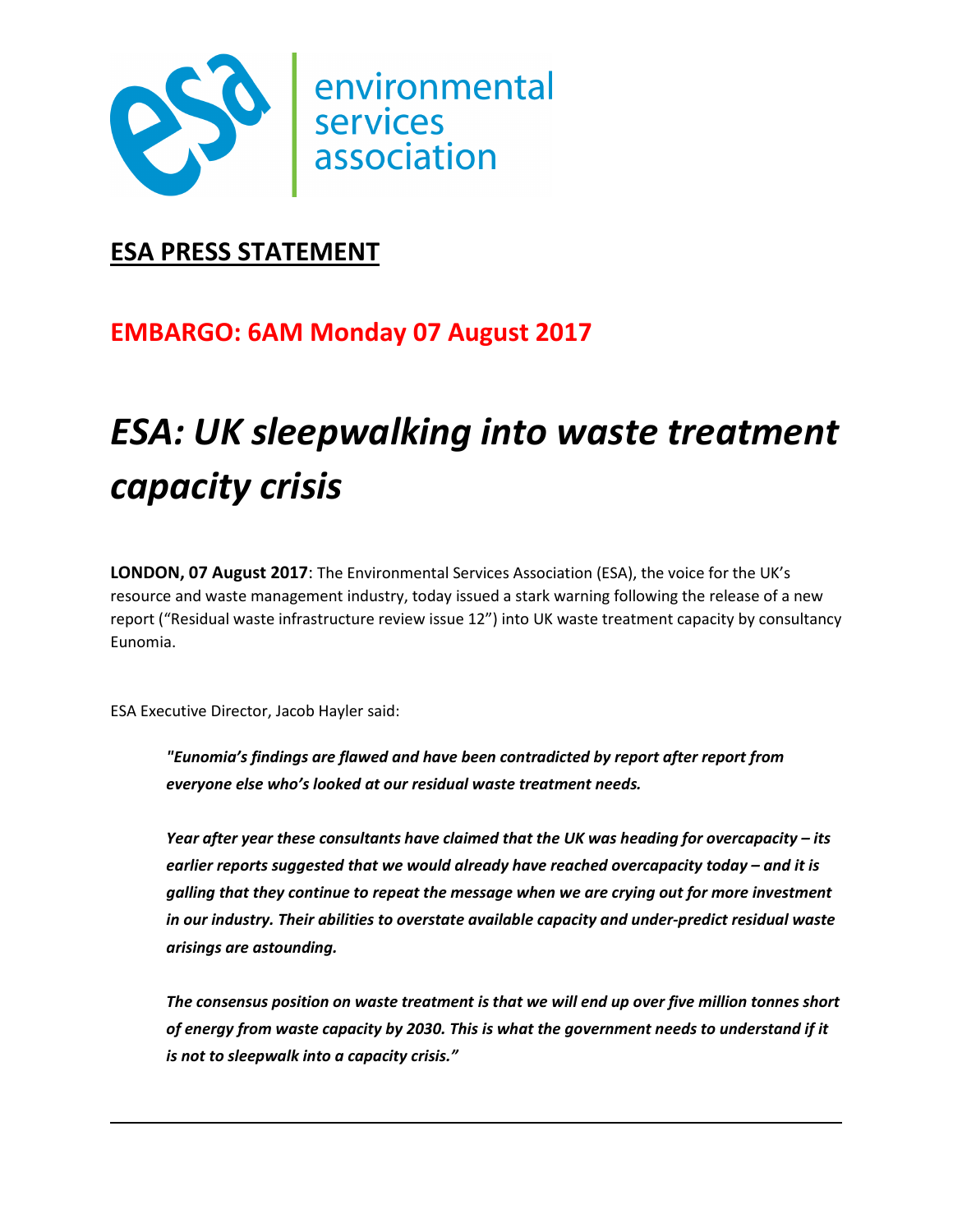

### **ESA PRESS STATEMENT**

## **EMBARGO: 6AM Monday 07 August 2017**

# *ESA: UK sleepwalking into waste treatment capacity crisis*

**LONDON, 07 August 2017**: The Environmental Services Association (ESA), the voice for the UK's resource and waste management industry, today issued a stark warning following the release of a new report ("Residual waste infrastructure review issue 12") into UK waste treatment capacity by consultancy Eunomia.

ESA Executive Director, Jacob Hayler said:

*"Eunomia's findings are flawed and have been contradicted by report after report from everyone else who's looked at our residual waste treatment needs.* 

*Year after year these consultants have claimed that the UK was heading for overcapacity – its earlier reports suggested that we would already have reached overcapacity today – and it is galling that they continue to repeat the message when we are crying out for more investment in our industry. Their abilities to overstate available capacity and under-predict residual waste arisings are astounding.* 

*The consensus position on waste treatment is that we will end up over five million tonnes short of energy from waste capacity by 2030. This is what the government needs to understand if it is not to sleepwalk into a capacity crisis."*